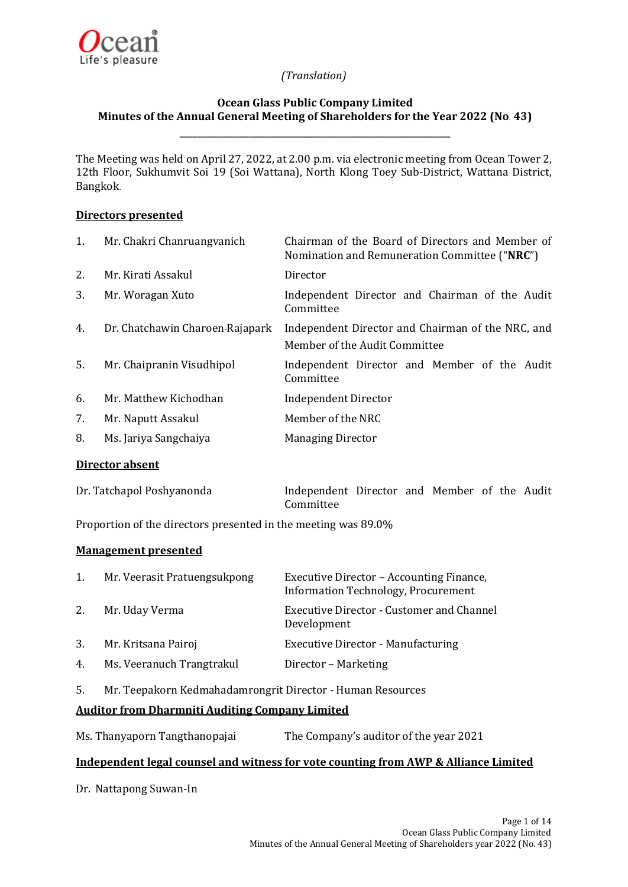

# **Ocean Glass Public Company Limited Minutes of the Annual General Meeting of Shareholders for the Year 2022 (No. 43)**

**\_\_\_\_\_\_\_\_\_\_\_\_\_\_\_\_\_\_\_\_\_\_\_\_\_\_\_\_\_\_\_\_\_\_\_\_\_\_\_\_\_\_\_\_\_\_\_\_\_\_\_\_\_\_\_\_\_\_\_\_\_\_\_**

The Meeting was held on April 27, 2022, at 2.00 p.m. via electronic meeting from Ocean Tower 2, 12th Floor, Sukhumvit Soi 19 (Soi Wattana), North Klong Toey Sub-District, Wattana District, Bangkok.

### **Directors presented**

| 1. | Mr. Chakri Chanruangvanich      | Chairman of the Board of Directors and Member of<br>Nomination and Remuneration Committee ("NRC") |
|----|---------------------------------|---------------------------------------------------------------------------------------------------|
| 2. | Mr. Kirati Assakul              | Director                                                                                          |
| 3. | Mr. Woragan Xuto                | Independent Director and Chairman of the Audit<br>Committee                                       |
| 4. | Dr. Chatchawin Charoen-Rajapark | Independent Director and Chairman of the NRC, and<br>Member of the Audit Committee                |
| 5. | Mr. Chaipranin Visudhipol       | Independent Director and Member of the Audit<br>Committee                                         |
| 6. | Mr. Matthew Kichodhan           | <b>Independent Director</b>                                                                       |
| 7. | Mr. Naputt Assakul              | Member of the NRC                                                                                 |
| 8. | Ms. Jariya Sangchaiya           | <b>Managing Director</b>                                                                          |

### **Director absent**

| Dr. Tatchapol Poshyanonda | Independent Director and Member of the Audit |  |  |  |
|---------------------------|----------------------------------------------|--|--|--|
|                           | Committee                                    |  |  |  |

Proportion of the directors presented in the meeting was 89.0%

### **Management presented**

| 1. | Mr. Veerasit Pratuengsukpong | Executive Director – Accounting Finance,<br>Information Technology, Procurement |
|----|------------------------------|---------------------------------------------------------------------------------|
| 2. | Mr. Uday Verma               | Executive Director - Customer and Channel<br>Development                        |
| 3. | Mr. Kritsana Pairoj          | <b>Executive Director - Manufacturing</b>                                       |
| 4. | Ms. Veeranuch Trangtrakul    | Director - Marketing                                                            |

5. Mr. Teepakorn Kedmahadamrongrit Director - Human Resources

# **Auditor from Dharmniti Auditing Company Limited**

| Ms. Thanyaporn Tangthanopajai | The Company's auditor of the year 2021 |
|-------------------------------|----------------------------------------|
|-------------------------------|----------------------------------------|

# **Independent legal counsel and witness for vote counting from AWP & Alliance Limited**

Dr. Nattapong Suwan-In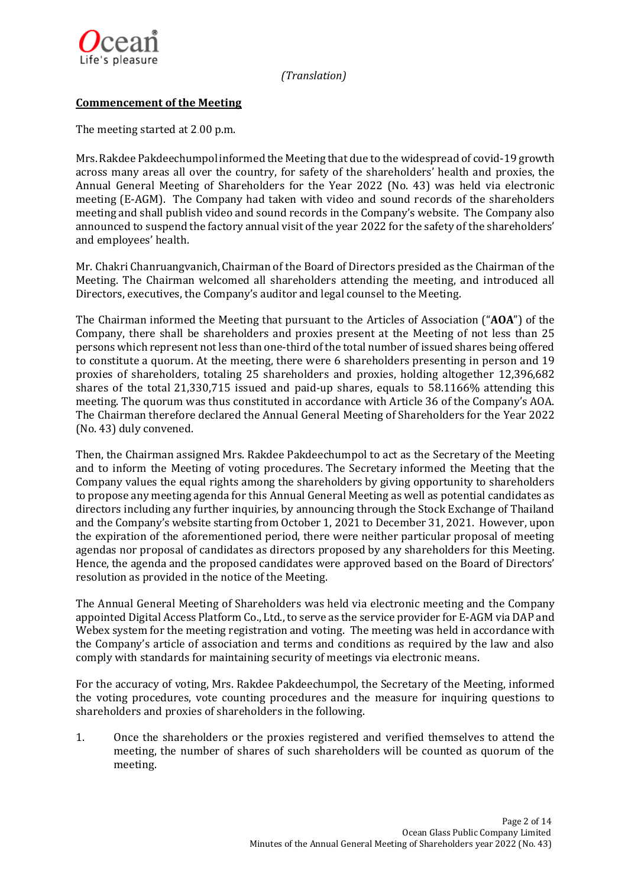

# **Commencement of the Meeting**

The meeting started at 2.00 p.m.

Mrs.Rakdee Pakdeechumpolinformed the Meeting that due to the widespread of covid-19 growth across many areas all over the country, for safety of the shareholders' health and proxies, the Annual General Meeting of Shareholders for the Year 2022 (No. 43) was held via electronic meeting (E-AGM). The Company had taken with video and sound records of the shareholders meeting and shall publish video and sound records in the Company's website. The Company also announced to suspend the factory annual visit of the year 2022 for the safety of the shareholders' and employees' health.

Mr. Chakri Chanruangvanich, Chairman of the Board of Directors presided as the Chairman of the Meeting. The Chairman welcomed all shareholders attending the meeting, and introduced all Directors, executives, the Company's auditor and legal counsel to the Meeting.

The Chairman informed the Meeting that pursuant to the Articles of Association ("**AOA**") of the Company, there shall be shareholders and proxies present at the Meeting of not less than 25 persons which represent not less than one-third of the total number of issued shares being offered to constitute a quorum. At the meeting, there were 6 shareholders presenting in person and 19 proxies of shareholders, totaling 25 shareholders and proxies, holding altogether 12,396,682 shares of the total 21,330,715 issued and paid-up shares, equals to 58.1166% attending this meeting. The quorum was thus constituted in accordance with Article 36 of the Company's AOA. The Chairman therefore declared the Annual General Meeting of Shareholders for the Year 2022 (No. 43) duly convened.

Then, the Chairman assigned Mrs. Rakdee Pakdeechumpol to act as the Secretary of the Meeting and to inform the Meeting of voting procedures. The Secretary informed the Meeting that the Company values the equal rights among the shareholders by giving opportunity to shareholders to propose any meeting agenda for this Annual General Meeting as well as potential candidates as directors including any further inquiries, by announcing through the Stock Exchange of Thailand and the Company's website starting from October 1, 2021 to December 31, 2021. However, upon the expiration of the aforementioned period, there were neither particular proposal of meeting agendas nor proposal of candidates as directors proposed by any shareholders for this Meeting. Hence, the agenda and the proposed candidates were approved based on the Board of Directors' resolution as provided in the notice of the Meeting.

The Annual General Meeting of Shareholders was held via electronic meeting and the Company appointed Digital Access Platform Co., Ltd., to serve as the service provider for E-AGM via DAP and Webex system for the meeting registration and voting. The meeting was held in accordance with the Company's article of association and terms and conditions as required by the law and also comply with standards for maintaining security of meetings via electronic means.

For the accuracy of voting, Mrs. Rakdee Pakdeechumpol, the Secretary of the Meeting, informed the voting procedures, vote counting procedures and the measure for inquiring questions to shareholders and proxies of shareholders in the following.

1. Once the shareholders or the proxies registered and verified themselves to attend the meeting, the number of shares of such shareholders will be counted as quorum of the meeting.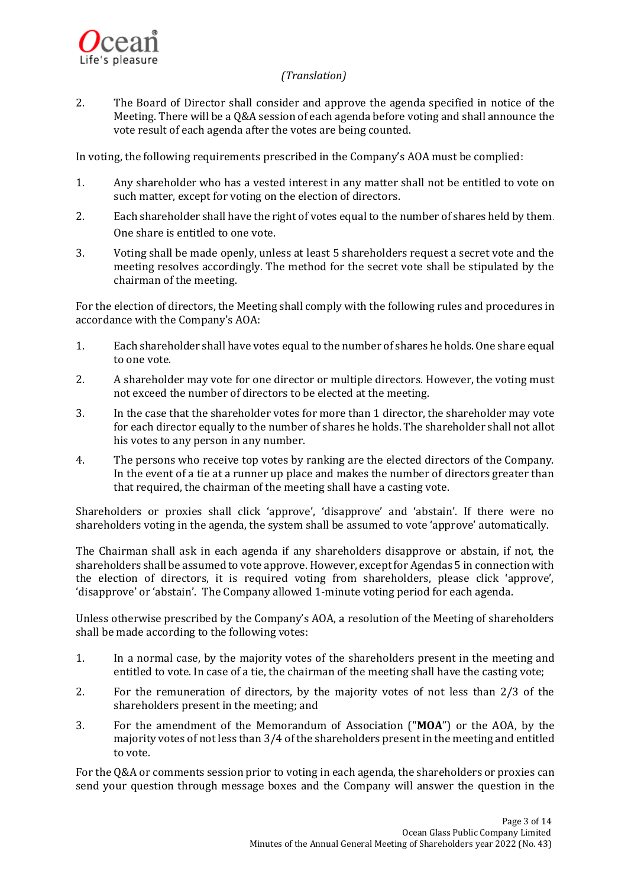

2. The Board of Director shall consider and approve the agenda specified in notice of the Meeting. There will be a Q&A session of each agenda before voting and shall announce the vote result of each agenda after the votes are being counted.

In voting, the following requirements prescribed in the Company's AOA must be complied:

- 1. Any shareholder who has a vested interest in any matter shall not be entitled to vote on such matter, except for voting on the election of directors.
- 2. Each shareholder shall have the right of votes equal to the number of shares held by them. One share is entitled to one vote.
- 3. Voting shall be made openly, unless at least 5 shareholders request a secret vote and the meeting resolves accordingly. The method for the secret vote shall be stipulated by the chairman of the meeting.

For the election of directors, the Meeting shall comply with the following rules and procedures in accordance with the Company's AOA:

- 1. Each shareholder shall have votes equal to the number of shares he holds. One share equal to one vote.
- 2. A shareholder may vote for one director or multiple directors. However, the voting must not exceed the number of directors to be elected at the meeting.
- 3. In the case that the shareholder votes for more than 1 director, the shareholder may vote for each director equally to the number of shares he holds. The shareholder shall not allot his votes to any person in any number.
- 4. The persons who receive top votes by ranking are the elected directors of the Company. In the event of a tie at a runner up place and makes the number of directors greater than that required, the chairman of the meeting shall have a casting vote.

Shareholders or proxies shall click 'approve', 'disapprove' and 'abstain'. If there were no shareholders voting in the agenda, the system shall be assumed to vote 'approve' automatically.

The Chairman shall ask in each agenda if any shareholders disapprove or abstain, if not, the shareholders shall be assumed to vote approve. However, except for Agendas 5 in connection with the election of directors, it is required voting from shareholders, please click 'approve', 'disapprove' or 'abstain'. The Company allowed 1-minute voting period for each agenda.

Unless otherwise prescribed by the Company's AOA, a resolution of the Meeting of shareholders shall be made according to the following votes:

- 1. In a normal case, by the majority votes of the shareholders present in the meeting and entitled to vote. In case of a tie, the chairman of the meeting shall have the casting vote;
- 2. For the remuneration of directors, by the majority votes of not less than 2/3 of the shareholders present in the meeting; and
- 3. For the amendment of the Memorandum of Association ("**MOA**") or the AOA, by the majority votes of not less than 3/4 of the shareholders present in the meeting and entitled to vote.

For the Q&A or comments session prior to voting in each agenda, the shareholders or proxies can send your question through message boxes and the Company will answer the question in the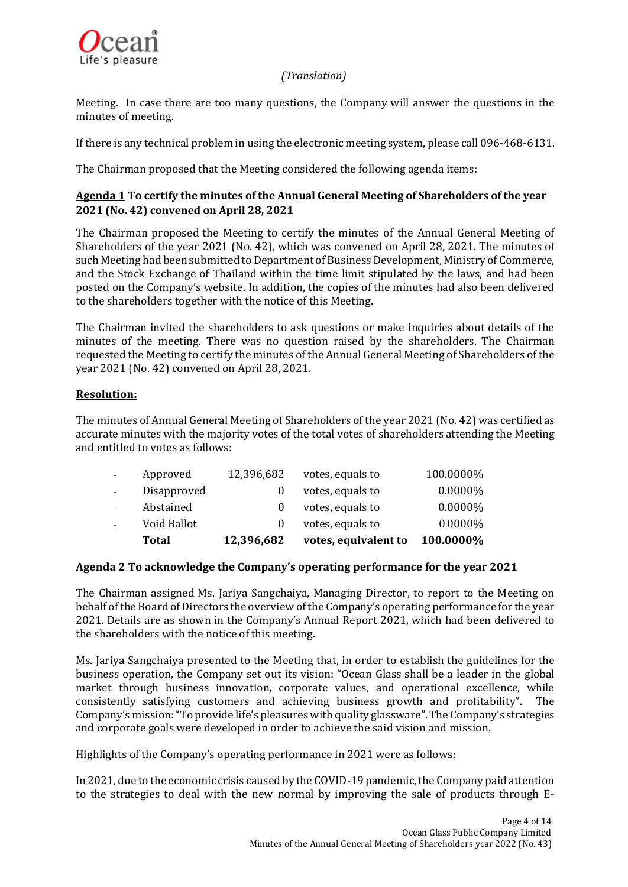

Meeting. In case there are too many questions, the Company will answer the questions in the minutes of meeting.

If there is any technical problem in using the electronic meeting system, please call 096-468-6131.

The Chairman proposed that the Meeting considered the following agenda items:

# **Agenda 1 To certify the minutes of the Annual General Meeting of Shareholders of the year 2021 (No. 42) convened on April 28, 2021**

The Chairman proposed the Meeting to certify the minutes of the Annual General Meeting of Shareholders of the year 2021 (No. 42), which was convened on April 28, 2021. The minutes of such Meeting had been submitted to Department of Business Development,Ministry of Commerce, and the Stock Exchange of Thailand within the time limit stipulated by the laws, and had been posted on the Company's website. In addition, the copies of the minutes had also been delivered to the shareholders together with the notice of this Meeting.

The Chairman invited the shareholders to ask questions or make inquiries about details of the minutes of the meeting. There was no question raised by the shareholders. The Chairman requested the Meeting to certify the minutes of the Annual General Meeting of Shareholders of the year 2021 (No. 42) convened on April 28, 2021.

# **Resolution:**

The minutes of Annual General Meeting of Shareholders of the year 2021 (No. 42) was certified as accurate minutes with the majority votes of the total votes of shareholders attending the Meeting and entitled to votes as follows:

| Total       | 12,396,682 | votes, equivalent to | 100.0000%  |
|-------------|------------|----------------------|------------|
| Void Ballot | $\theta$   | votes, equals to     | $0.0000\%$ |
| Abstained   |            | votes, equals to     | $0.0000\%$ |
| Disapproved |            | votes, equals to     | $0.0000\%$ |
| Approved    | 12,396,682 | votes, equals to     | 100.0000%  |

# **Agenda 2 To acknowledge the Company's operating performance for the year 2021**

The Chairman assigned Ms. Jariya Sangchaiya, Managing Director, to report to the Meeting on behalf of the Board of Directors the overview of the Company's operating performance for the year 2021. Details are as shown in the Company's Annual Report 2021, which had been delivered to the shareholders with the notice of this meeting.

Ms. Jariya Sangchaiya presented to the Meeting that, in order to establish the guidelines for the business operation, the Company set out its vision: "Ocean Glass shall be a leader in the global market through business innovation, corporate values, and operational excellence, while consistently satisfying customers and achieving business growth and profitability". The Company's mission:"To provide life's pleasures with quality glassware".The Company's strategies and corporate goals were developed in order to achieve the said vision and mission.

Highlights of the Company's operating performance in 2021 were as follows:

In 2021, due to the economic crisis caused by the COVID-19pandemic, the Company paid attention to the strategies to deal with the new normal by improving the sale of products through E-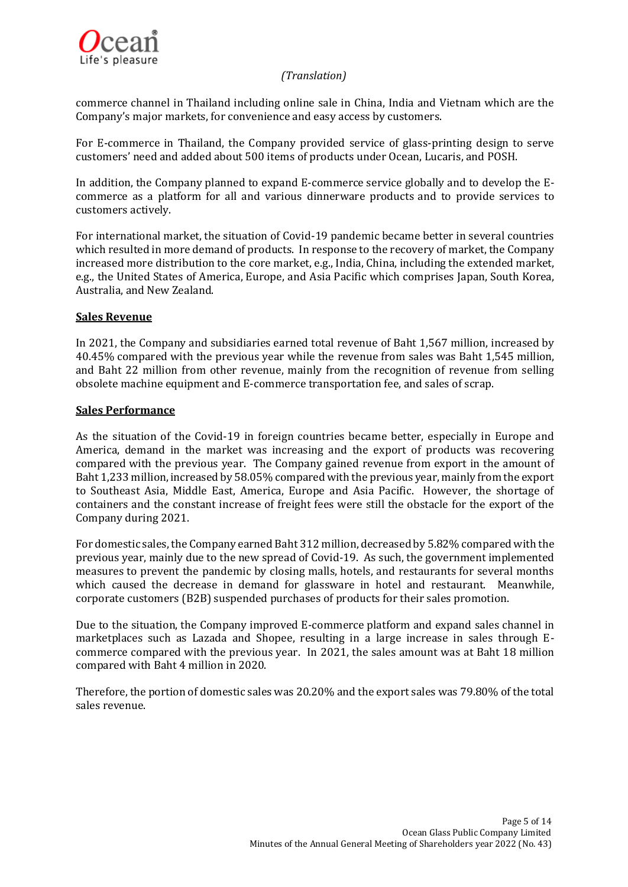

commerce channel in Thailand including online sale in China, India and Vietnam which are the Company's major markets, for convenience and easy access by customers.

For E-commerce in Thailand, the Company provided service of glass-printing design to serve customers' need and added about 500 items of products under Ocean, Lucaris, and POSH.

In addition, the Company planned to expand E-commerce service globally and to develop the Ecommerce as a platform for all and various dinnerware products and to provide services to customers actively.

For international market, the situation of Covid-19 pandemic became better in several countries which resulted in more demand of products. In response to the recovery of market, the Company increased more distribution to the core market, e.g., India, China, including the extended market, e.g., the United States of America, Europe, and Asia Pacific which comprises Japan, South Korea, Australia, and New Zealand.

### **Sales Revenue**

In 2021, the Company and subsidiaries earned total revenue of Baht 1,567 million, increased by 40.45% compared with the previous year while the revenue from sales was Baht 1,545 million, and Baht 22 million from other revenue, mainly from the recognition of revenue from selling obsolete machine equipment and E-commerce transportation fee, and sales of scrap.

### **Sales Performance**

As the situation of the Covid-19 in foreign countries became better, especially in Europe and America, demand in the market was increasing and the export of products was recovering compared with the previous year. The Company gained revenue from export in the amount of Baht 1,233 million, increased by 58.05% compared with the previous year, mainly from the export to Southeast Asia, Middle East, America, Europe and Asia Pacific. However, the shortage of containers and the constant increase of freight fees were still the obstacle for the export of the Company during 2021.

For domestic sales, the Company earned Baht 312 million, decreased by 5.82% compared with the previous year, mainly due to the new spread of Covid-19. As such, the government implemented measures to prevent the pandemic by closing malls, hotels, and restaurants for several months which caused the decrease in demand for glassware in hotel and restaurant. Meanwhile, corporate customers (B2B) suspended purchases of products for their sales promotion.

Due to the situation, the Company improved E-commerce platform and expand sales channel in marketplaces such as Lazada and Shopee, resulting in a large increase in sales through Ecommerce compared with the previous year. In 2021, the sales amount was at Baht 18 million compared with Baht 4 million in 2020.

Therefore, the portion of domestic sales was 20.20% and the export sales was 79.80% of the total sales revenue.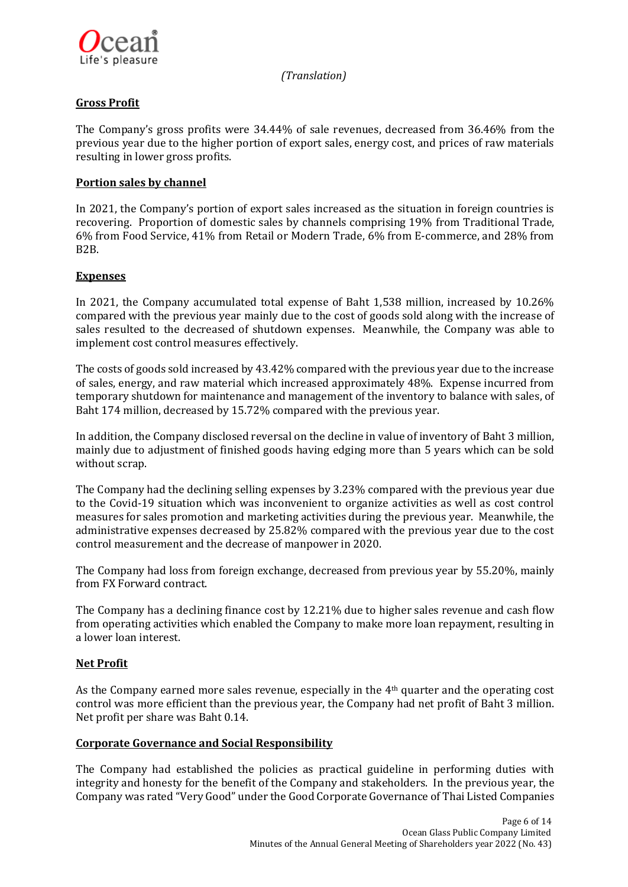

# **Gross Profit**

The Company's gross profits were 34.44% of sale revenues, decreased from 36.46% from the previous year due to the higher portion of export sales, energy cost, and prices of raw materials resulting in lower gross profits.

## **Portion sales by channel**

In 2021, the Company's portion of export sales increased as the situation in foreign countries is recovering. Proportion of domestic sales by channels comprising 19% from Traditional Trade, 6% from Food Service, 41% from Retail or Modern Trade, 6% from E-commerce, and 28% from B2B.

# **Expenses**

In 2021, the Company accumulated total expense of Baht 1,538 million, increased by 10.26% compared with the previous year mainly due to the cost of goods sold along with the increase of sales resulted to the decreased of shutdown expenses. Meanwhile, the Company was able to implement cost control measures effectively.

The costs of goods sold increased by 43.42% compared with the previous year due to the increase of sales, energy, and raw material which increased approximately 48%. Expense incurred from temporary shutdown for maintenance and management of the inventory to balance with sales, of Baht 174 million, decreased by 15.72% compared with the previous year.

In addition, the Company disclosed reversal on the decline in value of inventory of Baht 3 million, mainly due to adjustment of finished goods having edging more than 5 years which can be sold without scrap.

The Company had the declining selling expenses by 3.23% compared with the previous year due to the Covid-19 situation which was inconvenient to organize activities as well as cost control measures for sales promotion and marketing activities during the previous year. Meanwhile, the administrative expenses decreased by 25.82% compared with the previous year due to the cost control measurement and the decrease of manpower in 2020.

The Company had loss from foreign exchange, decreased from previous year by 55.20%, mainly from FX Forward contract.

The Company has a declining finance cost by 12.21% due to higher sales revenue and cash flow from operating activities which enabled the Company to make more loan repayment, resulting in a lower loan interest.

# **Net Profit**

As the Company earned more sales revenue, especially in the 4th quarter and the operating cost control was more efficient than the previous year, the Company had net profit of Baht 3 million. Net profit per share was Baht 0.14.

### **Corporate Governance and Social Responsibility**

The Company had established the policies as practical guideline in performing duties with integrity and honesty for the benefit of the Company and stakeholders. In the previous year, the Company was rated "Very Good" under the Good Corporate Governance of Thai Listed Companies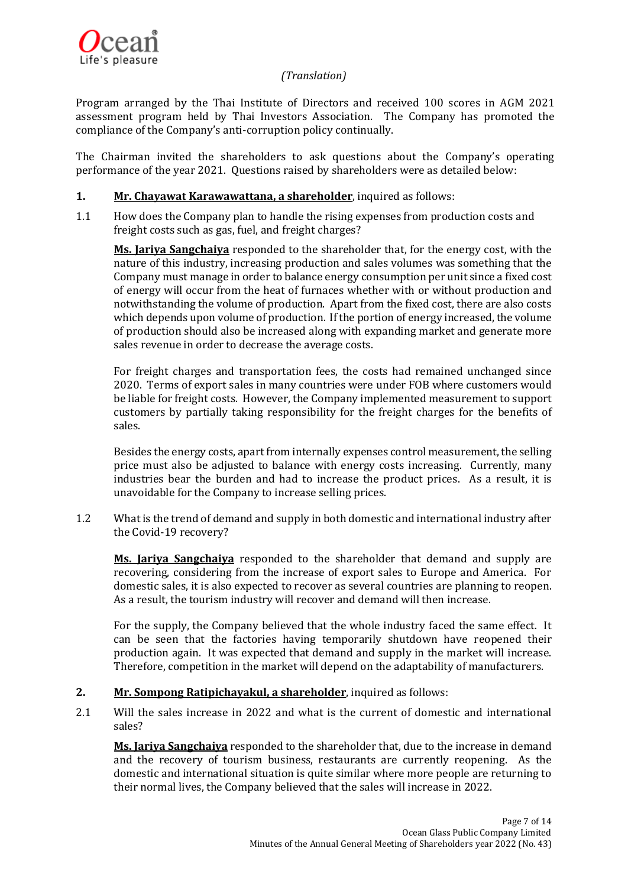

Program arranged by the Thai Institute of Directors and received 100 scores in AGM 2021 assessment program held by Thai Investors Association. The Company has promoted the compliance of the Company's anti-corruption policy continually.

The Chairman invited the shareholders to ask questions about the Company's operating performance of the year 2021. Questions raised by shareholders were as detailed below:

# **1. Mr. Chayawat Karawawattana, a shareholder**, inquired as follows:

1.1 How does the Company plan to handle the rising expenses from production costs and freight costs such as gas, fuel, and freight charges?

**Ms. Jariya Sangchaiya** responded to the shareholder that, for the energy cost, with the nature of this industry, increasing production and sales volumes was something that the Company must manage in order to balance energy consumption per unit since a fixed cost of energy will occur from the heat of furnaces whether with or without production and notwithstanding the volume of production. Apart from the fixed cost, there are also costs which depends upon volume of production. If the portion of energy increased, the volume of production should also be increased along with expanding market and generate more sales revenue in order to decrease the average costs.

For freight charges and transportation fees, the costs had remained unchanged since 2020. Terms of export sales in many countries were under FOB where customers would be liable for freight costs. However, the Company implemented measurement to support customers by partially taking responsibility for the freight charges for the benefits of sales.

Besides the energy costs, apart from internally expenses control measurement, the selling price must also be adjusted to balance with energy costs increasing. Currently, many industries bear the burden and had to increase the product prices. As a result, it is unavoidable for the Company to increase selling prices.

1.2 What is the trend of demand and supply in both domestic and international industry after the Covid-19 recovery?

**Ms. Jariya Sangchaiya** responded to the shareholder that demand and supply are recovering, considering from the increase of export sales to Europe and America. For domestic sales, it is also expected to recover as several countries are planning to reopen. As a result, the tourism industry will recover and demand will then increase.

For the supply, the Company believed that the whole industry faced the same effect. It can be seen that the factories having temporarily shutdown have reopened their production again. It was expected that demand and supply in the market will increase. Therefore, competition in the market will depend on the adaptability of manufacturers.

# **2. Mr. Sompong Ratipichayakul, a shareholder**, inquired as follows:

2.1 Will the sales increase in 2022 and what is the current of domestic and international sales?

**Ms. Jariya Sangchaiya** responded to the shareholder that, due to the increase in demand and the recovery of tourism business, restaurants are currently reopening. As the domestic and international situation is quite similar where more people are returning to their normal lives, the Company believed that the sales will increase in 2022.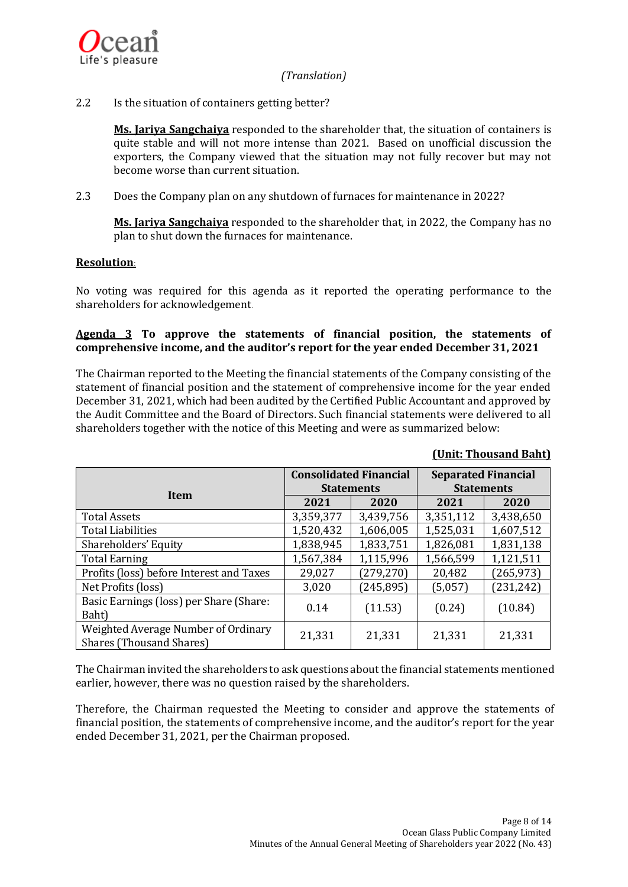

### 2.2 Is the situation of containers getting better?

**Ms. Jariya Sangchaiya** responded to the shareholder that, the situation of containers is quite stable and will not more intense than 2021. Based on unofficial discussion the exporters, the Company viewed that the situation may not fully recover but may not become worse than current situation.

2.3 Does the Company plan on any shutdown of furnaces for maintenance in 2022?

**Ms. Jariya Sangchaiya** responded to the shareholder that, in 2022, the Company has no plan to shut down the furnaces for maintenance.

### **Resolution:**

No voting was required for this agenda as it reported the operating performance to the shareholders for acknowledgement.

### **Agenda 3 To approve the statements of financial position, the statements of comprehensive income, and the auditor's report for the year ended December 31, 2021**

The Chairman reported to the Meeting the financial statements of the Company consisting of the statement of financial position and the statement of comprehensive income for the year ended December 31, 2021, which had been audited by the Certified Public Accountant and approved by the Audit Committee and the Board of Directors. Such financial statements were delivered to all shareholders together with the notice of this Meeting and were as summarized below:

|                                                                        | <b>Consolidated Financial</b> |            | <b>Separated Financial</b> |            |  |
|------------------------------------------------------------------------|-------------------------------|------------|----------------------------|------------|--|
| <b>Item</b>                                                            | <b>Statements</b>             |            | <b>Statements</b>          |            |  |
|                                                                        | 2021                          | 2020       | 2021                       | 2020       |  |
| <b>Total Assets</b>                                                    | 3,359,377                     | 3,439,756  | 3,351,112                  | 3,438,650  |  |
| <b>Total Liabilities</b>                                               | 1,520,432                     | 1,606,005  | 1,525,031                  | 1,607,512  |  |
| Shareholders' Equity                                                   | 1,838,945                     | 1,833,751  | 1,826,081                  | 1,831,138  |  |
| <b>Total Earning</b>                                                   | 1,567,384                     | 1,115,996  | 1,566,599                  | 1,121,511  |  |
| Profits (loss) before Interest and Taxes                               | 29,027                        | (279, 270) | 20,482                     | (265, 973) |  |
| Net Profits (loss)                                                     | 3,020                         | (245, 895) | (5,057)                    | (231, 242) |  |
| Basic Earnings (loss) per Share (Share:<br>Baht)                       | 0.14                          | (11.53)    | (0.24)                     | (10.84)    |  |
| Weighted Average Number of Ordinary<br><b>Shares (Thousand Shares)</b> | 21,331                        | 21,331     | 21,331                     | 21,331     |  |

### **(Unit: Thousand Baht)**

The Chairman invited the shareholders to ask questions about the financial statements mentioned earlier, however, there was no question raised by the shareholders.

Therefore, the Chairman requested the Meeting to consider and approve the statements of financial position, the statements of comprehensive income, and the auditor's report for the year ended December 31, 2021, per the Chairman proposed.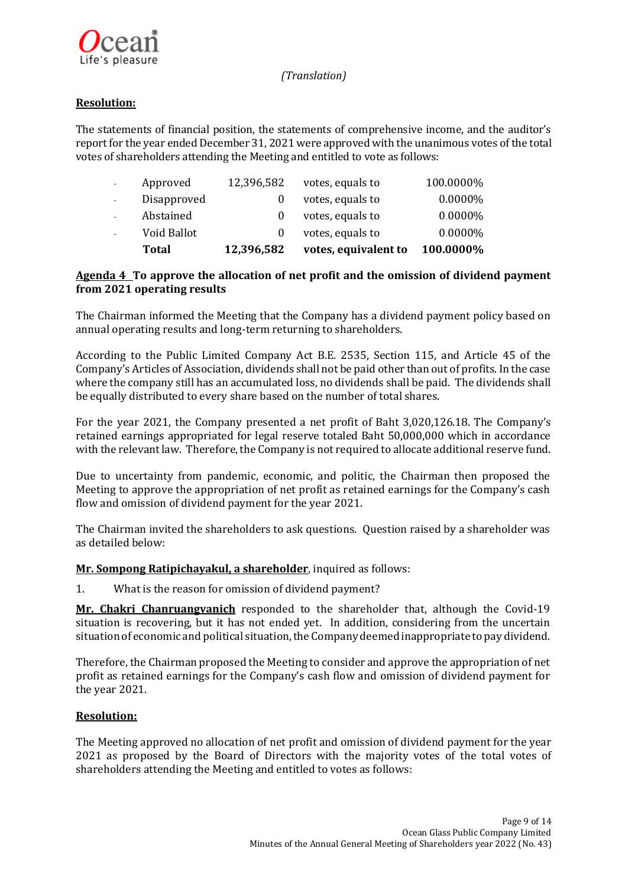

# **Resolution:**

The statements of financial position, the statements of comprehensive income, and the auditor's report for the year ended December 31, 2021 were approved with the unanimous votes of the total votes of shareholders attending the Meeting and entitled to vote as follows:

| Total       | 12,396,582 | votes, equivalent to | 100.0000% |
|-------------|------------|----------------------|-----------|
| Void Ballot | $\theta$   | votes, equals to     | 0.0000%   |
| Abstained   |            | votes, equals to     | 0.0000%   |
| Disapproved | 0          | votes, equals to     | 0.0000%   |
| Approved    | 12,396,582 | votes, equals to     | 100.0000% |

## **Agenda 4 To approve the allocation of net profit and the omission of dividend payment from 2021 operating results**

The Chairman informed the Meeting that the Company has a dividend payment policy based on annual operating results and long-term returning to shareholders.

According to the Public Limited Company Act B.E. 2535, Section 115, and Article 45 of the Company's Articles of Association, dividends shall not be paid other than out of profits. In the case where the company still has an accumulated loss, no dividends shall be paid. The dividends shall be equally distributed to every share based on the number of total shares.

For the year 2021, the Company presented a net profit of Baht 3,020,126.18. The Company's retained earnings appropriated for legal reserve totaled Baht 50,000,000 which in accordance with the relevant law. Therefore, the Company is not required to allocate additional reserve fund.

Due to uncertainty from pandemic, economic, and politic, the Chairman then proposed the Meeting to approve the appropriation of net profit as retained earnings for the Company's cash flow and omission of dividend payment for the year 2021.

The Chairman invited the shareholders to ask questions. Question raised by a shareholder was as detailed below:

### **Mr. Sompong Ratipichayakul, a shareholder**, inquired as follows:

1. What is the reason for omission of dividend payment?

**Mr. Chakri Chanruangvanich** responded to the shareholder that, although the Covid-19 situation is recovering, but it has not ended yet. In addition, considering from the uncertain situation of economic and political situation, the Company deemed inappropriate to pay dividend.

Therefore, the Chairman proposed the Meeting to consider and approve the appropriation of net profit as retained earnings for the Company's cash flow and omission of dividend payment for the year 2021.

### **Resolution:**

The Meeting approved no allocation of net profit and omission of dividend payment for the year 2021 as proposed by the Board of Directors with the majority votes of the total votes of shareholders attending the Meeting and entitled to votes as follows: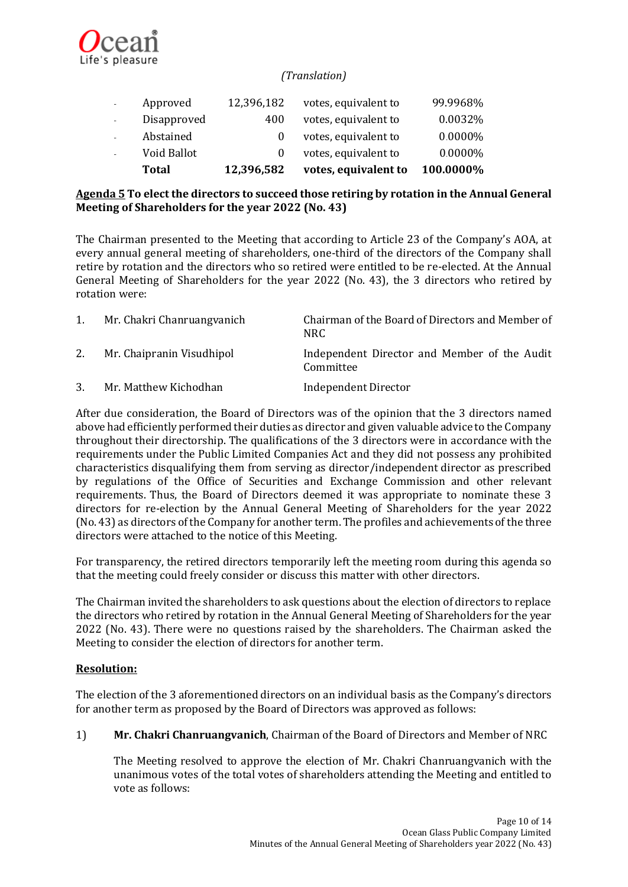

| <b>Total</b> |            |                      |          |
|--------------|------------|----------------------|----------|
| Void Ballot  | $\Omega$   | votes, equivalent to | 0.0000%  |
| Abstained    |            | votes, equivalent to | 0.0000%  |
| Disapproved  | 400        | votes, equivalent to | 0.0032%  |
| Approved     | 12,396,182 | votes, equivalent to | 99.9968% |
|              |            |                      |          |

# **Agenda 5 To elect the directors to succeed those retiring by rotation in the Annual General Meeting of Shareholders for the year 2022 (No. 43)**

The Chairman presented to the Meeting that according to Article 23 of the Company's AOA, at every annual general meeting of shareholders, one-third of the directors of the Company shall retire by rotation and the directors who so retired were entitled to be re-elected. At the Annual General Meeting of Shareholders for the year 2022 (No. 43), the 3 directors who retired by rotation were:

| Mr. Chakri Chanruangyanich | Chairman of the Board of Directors and Member of<br>NRC.  |
|----------------------------|-----------------------------------------------------------|
| Mr. Chaipranin Visudhipol  | Independent Director and Member of the Audit<br>Committee |
| Mr. Matthew Kichodhan      | <b>Independent Director</b>                               |

After due consideration, the Board of Directors was of the opinion that the 3 directors named above had efficiently performed their duties as director and given valuable advice to the Company throughout their directorship. The qualifications of the 3 directors were in accordance with the requirements under the Public Limited Companies Act and they did not possess any prohibited characteristics disqualifying them from serving as director/independent director as prescribed by regulations of the Office of Securities and Exchange Commission and other relevant requirements. Thus, the Board of Directors deemed it was appropriate to nominate these 3 directors for re-election by the Annual General Meeting of Shareholders for the year 2022 (No. 43) as directors of the Company for another term.The profiles and achievements of the three directors were attached to the notice of this Meeting.

For transparency, the retired directors temporarily left the meeting room during this agenda so that the meeting could freely consider or discuss this matter with other directors.

The Chairman invited the shareholders to ask questions about the election of directors to replace the directors who retired by rotation in the Annual General Meeting of Shareholders for the year 2022 (No. 43). There were no questions raised by the shareholders. The Chairman asked the Meeting to consider the election of directors for another term.

# **Resolution:**

The election of the 3 aforementioned directors on an individual basis as the Company's directors for another term as proposed by the Board of Directors was approved as follows:

1) **Mr. Chakri Chanruangvanich**, Chairman of the Board of Directors and Member of NRC

The Meeting resolved to approve the election of Mr. Chakri Chanruangvanich with the unanimous votes of the total votes of shareholders attending the Meeting and entitled to vote as follows: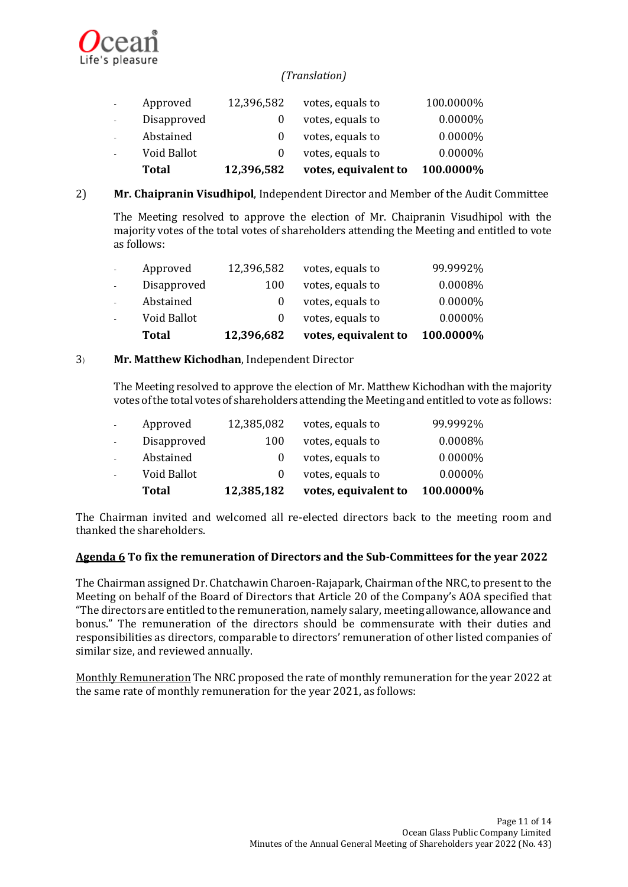

|        | Total       | 12,396,582 | votes, equivalent to | 100.0000%  |
|--------|-------------|------------|----------------------|------------|
|        | Void Ballot |            | votes, equals to     | $0.0000\%$ |
| $\sim$ | Abstained   |            | votes, equals to     | $0.0000\%$ |
| $\sim$ | Disapproved |            | votes, equals to     | $0.0000\%$ |
|        | Approved    | 12,396,582 | votes, equals to     | 100.0000%  |

2) **Mr. Chaipranin Visudhipol**, Independent Director and Member of the Audit Committee

The Meeting resolved to approve the election of Mr. Chaipranin Visudhipol with the majority votes of the total votes of shareholders attending the Meeting and entitled to vote as follows:

|              | Total       | 12,396,682 | votes, equivalent to | 100.0000%  |
|--------------|-------------|------------|----------------------|------------|
| ÷.           | Void Ballot |            | votes, equals to     | $0.0000\%$ |
| $\mathbf{r}$ | Abstained   |            | votes, equals to     | 0.0000%    |
| $\mathbf{r}$ | Disapproved | 100        | votes, equals to     | 0.0008%    |
| $\omega$     | Approved    | 12,396,582 | votes, equals to     | 99.9992%   |

# 3) **Mr. Matthew Kichodhan**, Independent Director

The Meeting resolved to approve the election of Mr. Matthew Kichodhan with the majority votes of the total votes of shareholders attending the Meeting and entitled to vote as follows:

|    | Total       | 12,385,182 | votes, equivalent to | 100.0000%  |
|----|-------------|------------|----------------------|------------|
|    | Void Ballot |            | votes, equals to     | $0.0000\%$ |
|    | Abstained   |            | votes, equals to     | $0.0000\%$ |
|    | Disapproved | 100        | votes, equals to     | 0.0008%    |
| ÷. | Approved    | 12,385,082 | votes, equals to     | 99.9992%   |

The Chairman invited and welcomed all re-elected directors back to the meeting room and thanked the shareholders.

### **Agenda 6 To fix the remuneration of Directors and the Sub-Committees for the year 2022**

The Chairman assigned Dr. Chatchawin Charoen-Rajapark, Chairman of the NRC,to present to the Meeting on behalf of the Board of Directors that Article 20 of the Company's AOA specified that "The directors are entitled to the remuneration, namely salary, meeting allowance, allowance and bonus." The remuneration of the directors should be commensurate with their duties and responsibilities as directors, comparable to directors' remuneration of other listed companies of similar size, and reviewed annually.

Monthly Remuneration The NRC proposed the rate of monthly remuneration for the year 2022 at the same rate of monthly remuneration for the year 2021, as follows: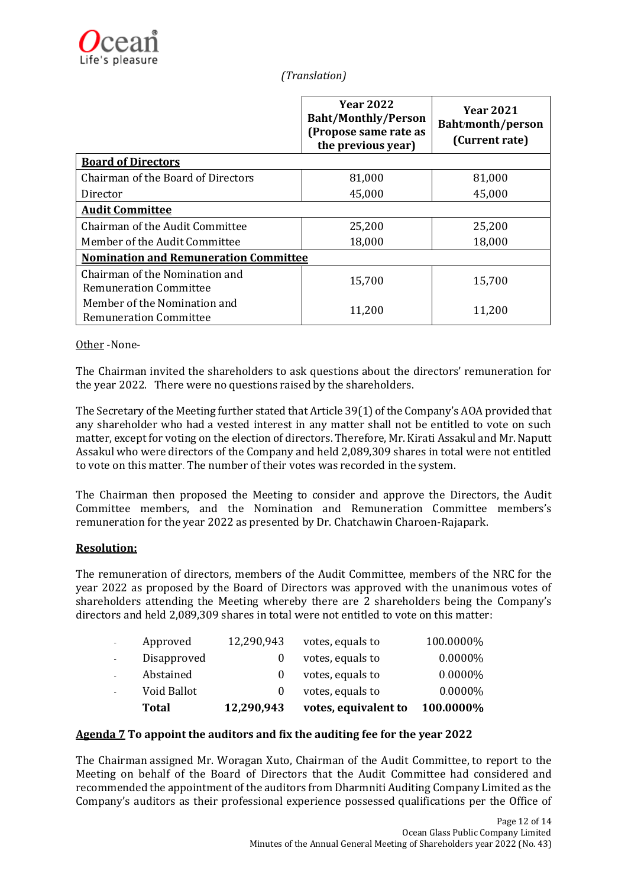|                                                               | <b>Year 2022</b><br><b>Baht/Monthly/Person</b><br>(Propose same rate as<br>the previous year) | <b>Year 2021</b><br>Baht/month/person<br>(Current rate) |  |
|---------------------------------------------------------------|-----------------------------------------------------------------------------------------------|---------------------------------------------------------|--|
| <b>Board of Directors</b>                                     |                                                                                               |                                                         |  |
| Chairman of the Board of Directors                            | 81,000                                                                                        | 81,000                                                  |  |
| Director                                                      | 45,000                                                                                        | 45,000                                                  |  |
| <b>Audit Committee</b>                                        |                                                                                               |                                                         |  |
| Chairman of the Audit Committee                               | 25,200                                                                                        | 25,200                                                  |  |
| Member of the Audit Committee                                 | 18,000                                                                                        | 18,000                                                  |  |
| <b>Nomination and Remuneration Committee</b>                  |                                                                                               |                                                         |  |
| Chairman of the Nomination and<br>Remuneration Committee      | 15,700                                                                                        | 15,700                                                  |  |
| Member of the Nomination and<br><b>Remuneration Committee</b> | 11,200                                                                                        | 11,200                                                  |  |

Other -None-

The Chairman invited the shareholders to ask questions about the directors' remuneration for the year 2022. There were no questions raised by the shareholders.

The Secretary of the Meeting further stated that Article 39(1) of the Company's AOA provided that any shareholder who had a vested interest in any matter shall not be entitled to vote on such matter, except for voting on the election of directors. Therefore, Mr. Kirati Assakul and Mr. Naputt Assakul who were directors of the Company and held 2,089,309 shares in total were not entitled to vote on this matter. The number of their votes was recorded in the system.

The Chairman then proposed the Meeting to consider and approve the Directors, the Audit Committee members, and the Nomination and Remuneration Committee members's remuneration for the year 2022 as presented by Dr. Chatchawin Charoen-Rajapark.

# **Resolution:**

The remuneration of directors, members of the Audit Committee, members of the NRC for the year 2022 as proposed by the Board of Directors was approved with the unanimous votes of shareholders attending the Meeting whereby there are 2 shareholders being the Company's directors and held 2,089,309 shares in total were not entitled to vote on this matter:

|        | Total       | 12,290,943 | votes, equivalent to | 100.0000%  |
|--------|-------------|------------|----------------------|------------|
|        | Void Ballot |            | votes, equals to     | $0.0000\%$ |
| $\sim$ | Abstained   |            | votes, equals to     | 0.0000%    |
| $\sim$ | Disapproved |            | votes, equals to     | 0.0000%    |
| $\sim$ | Approved    | 12,290,943 | votes, equals to     | 100.0000%  |

# **Agenda 7 To appoint the auditors and fix the auditing fee for the year 2022**

The Chairman assigned Mr. Woragan Xuto, Chairman of the Audit Committee, to report to the Meeting on behalf of the Board of Directors that the Audit Committee had considered and recommended the appointment of the auditors from Dharmniti Auditing Company Limited as the Company's auditors as their professional experience possessed qualifications per the Office of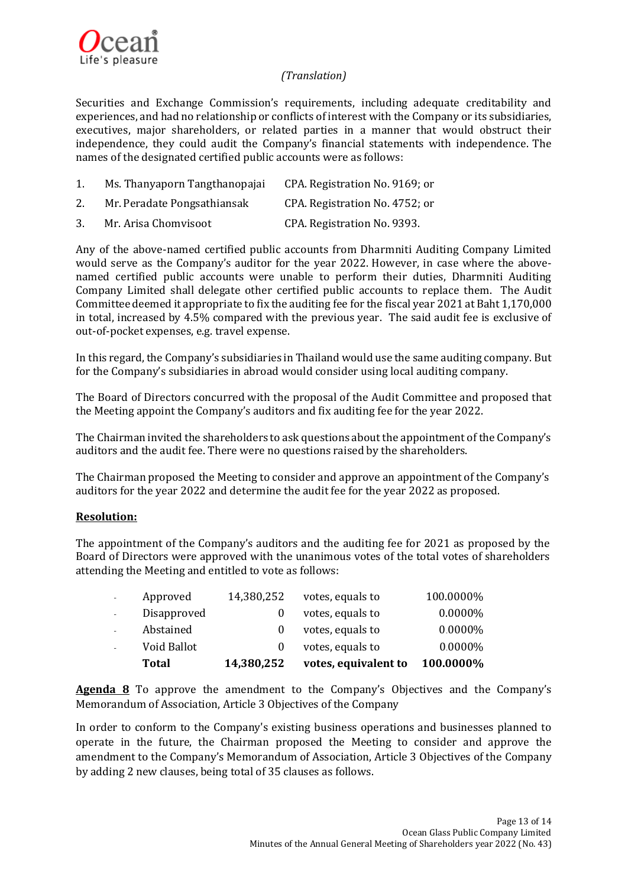

Securities and Exchange Commission's requirements, including adequate creditability and experiences, and had no relationship or conflicts of interest with the Company or its subsidiaries, executives, major shareholders, or related parties in a manner that would obstruct their independence, they could audit the Company's financial statements with independence. The names of the designated certified public accounts were as follows:

| 1. | Ms. Thanyaporn Tangthanopajai | CPA. Registration No. 9169; or |
|----|-------------------------------|--------------------------------|
| 2. | Mr. Peradate Pongsathiansak   | CPA. Registration No. 4752; or |
| 3. | Mr. Arisa Chomvisoot          | CPA. Registration No. 9393.    |

Any of the above-named certified public accounts from Dharmniti Auditing Company Limited would serve as the Company's auditor for the year 2022. However, in case where the abovenamed certified public accounts were unable to perform their duties, Dharmniti Auditing Company Limited shall delegate other certified public accounts to replace them. The Audit Committeedeemed it appropriate to fix the auditing fee for the fiscal year 2021 at Baht 1,170,000 in total, increased by 4.5% compared with the previous year. The said audit fee is exclusive of out-of-pocket expenses, e.g. travel expense.

In this regard, the Company's subsidiaries in Thailand would use the same auditing company. But for the Company's subsidiaries in abroad would consider using local auditing company.

The Board of Directors concurred with the proposal of the Audit Committee and proposed that the Meeting appoint the Company's auditors and fix auditing fee for the year 2022.

The Chairman invited the shareholders to ask questions about the appointment of the Company's auditors and the audit fee. There were no questions raised by the shareholders.

The Chairman proposed the Meeting to consider and approve an appointment of the Company's auditors for the year 2022 and determine the audit fee for the year 2022 as proposed.

# **Resolution:**

The appointment of the Company's auditors and the auditing fee for 2021 as proposed by the Board of Directors were approved with the unanimous votes of the total votes of shareholders attending the Meeting and entitled to vote as follows:

|              | Total       | 14,380,252 | votes, equivalent to | 100.0000% |
|--------------|-------------|------------|----------------------|-----------|
|              | Void Ballot |            | votes, equals to     | 0.0000%   |
| $\mathbf{r}$ | Abstained   |            | votes, equals to     | 0.0000%   |
| $\mathbf{r}$ | Disapproved |            | votes, equals to     | 0.0000%   |
| $\omega$     | Approved    | 14,380,252 | votes, equals to     | 100.0000% |

**Agenda 8** To approve the amendment to the Company's Objectives and the Company's Memorandum of Association, Article 3 Objectives of the Company

In order to conform to the Company's existing business operations and businesses planned to operate in the future, the Chairman proposed the Meeting to consider and approve the amendment to the Company's Memorandum of Association, Article 3 Objectives of the Company by adding 2 new clauses, being total of 35 clauses as follows.